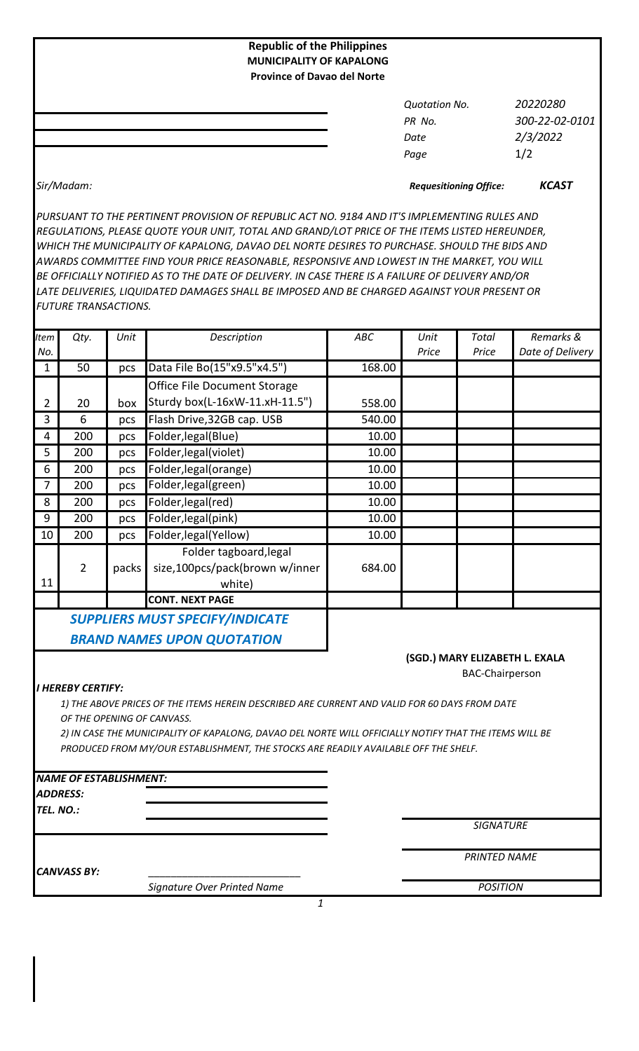| <b>Republic of the Philippines</b><br><b>MUNICIPALITY OF KAPALONG</b><br><b>Province of Davao del Norte</b> |                      |                |
|-------------------------------------------------------------------------------------------------------------|----------------------|----------------|
|                                                                                                             | <b>Quotation No.</b> | 20220280       |
|                                                                                                             | PR No.               | 300-22-02-0101 |
|                                                                                                             | Date                 | 2/3/2022       |
|                                                                                                             | Page                 | 1/2            |
|                                                                                                             |                      |                |

*Sir/Madam: KCAST Requesitioning Office:*

*PURSUANT TO THE PERTINENT PROVISION OF REPUBLIC ACT NO. 9184 AND IT'S IMPLEMENTING RULES AND REGULATIONS, PLEASE QUOTE YOUR UNIT, TOTAL AND GRAND/LOT PRICE OF THE ITEMS LISTED HEREUNDER, WHICH THE MUNICIPALITY OF KAPALONG, DAVAO DEL NORTE DESIRES TO PURCHASE. SHOULD THE BIDS AND AWARDS COMMITTEE FIND YOUR PRICE REASONABLE, RESPONSIVE AND LOWEST IN THE MARKET, YOU WILL BE OFFICIALLY NOTIFIED AS TO THE DATE OF DELIVERY. IN CASE THERE IS A FAILURE OF DELIVERY AND/OR LATE DELIVERIES, LIQUIDATED DAMAGES SHALL BE IMPOSED AND BE CHARGED AGAINST YOUR PRESENT OR FUTURE TRANSACTIONS.*

| Item           | Qty.                                                   | Unit  | Description                                                                                                                                                                                                                                                                                    | <b>ABC</b> | Unit  | <b>Total</b>                   | Remarks &        |
|----------------|--------------------------------------------------------|-------|------------------------------------------------------------------------------------------------------------------------------------------------------------------------------------------------------------------------------------------------------------------------------------------------|------------|-------|--------------------------------|------------------|
| No.            |                                                        |       |                                                                                                                                                                                                                                                                                                |            | Price | Price                          | Date of Delivery |
| $\mathbf{1}$   | 50                                                     | pcs   | Data File Bo(15"x9.5"x4.5")                                                                                                                                                                                                                                                                    | 168.00     |       |                                |                  |
|                |                                                        |       | Office File Document Storage                                                                                                                                                                                                                                                                   |            |       |                                |                  |
| $\overline{2}$ | 20                                                     | box   | Sturdy box(L-16xW-11.xH-11.5")                                                                                                                                                                                                                                                                 | 558.00     |       |                                |                  |
| 3              | 6                                                      | pcs   | Flash Drive, 32GB cap. USB                                                                                                                                                                                                                                                                     | 540.00     |       |                                |                  |
| 4              | 200                                                    | pcs   | Folder, legal (Blue)                                                                                                                                                                                                                                                                           | 10.00      |       |                                |                  |
| 5              | 200                                                    | pcs   | Folder, legal (violet)                                                                                                                                                                                                                                                                         | 10.00      |       |                                |                  |
| 6              | 200                                                    | pcs   | Folder, legal (orange)                                                                                                                                                                                                                                                                         | 10.00      |       |                                |                  |
| 7              | 200                                                    | pcs   | Folder, legal(green)                                                                                                                                                                                                                                                                           | 10.00      |       |                                |                  |
| 8              | 200                                                    | pcs   | Folder, legal(red)                                                                                                                                                                                                                                                                             | 10.00      |       |                                |                  |
| 9              | 200                                                    | pcs   | Folder, legal(pink)                                                                                                                                                                                                                                                                            | 10.00      |       |                                |                  |
| 10             | 200                                                    | pcs   | Folder, legal (Yellow)                                                                                                                                                                                                                                                                         | 10.00      |       |                                |                  |
| 11             | $\overline{2}$                                         | packs | Folder tagboard, legal<br>size,100pcs/pack(brown w/inner<br>white)                                                                                                                                                                                                                             | 684.00     |       |                                |                  |
|                |                                                        |       | <b>CONT. NEXT PAGE</b>                                                                                                                                                                                                                                                                         |            |       |                                |                  |
|                |                                                        |       | <b>SUPPLIERS MUST SPECIFY/INDICATE</b>                                                                                                                                                                                                                                                         |            |       |                                |                  |
|                |                                                        |       | <b>BRAND NAMES UPON QUOTATION</b>                                                                                                                                                                                                                                                              |            |       |                                |                  |
|                |                                                        |       |                                                                                                                                                                                                                                                                                                |            |       | (SGD.) MARY ELIZABETH L. EXALA |                  |
|                | <b>I HEREBY CERTIFY:</b><br>OF THE OPENING OF CANVASS. |       | 1) THE ABOVE PRICES OF THE ITEMS HEREIN DESCRIBED ARE CURRENT AND VALID FOR 60 DAYS FROM DATE<br>2) IN CASE THE MUNICIPALITY OF KAPALONG, DAVAO DEL NORTE WILL OFFICIALLY NOTIFY THAT THE ITEMS WILL BE<br>PRODUCED FROM MY/OUR ESTABLISHMENT, THE STOCKS ARE READILY AVAILABLE OFF THE SHELF. |            |       | <b>BAC-Chairperson</b>         |                  |
|                | <b>NAME OF ESTABLISHMENT:</b>                          |       |                                                                                                                                                                                                                                                                                                |            |       |                                |                  |
|                | <i><b>ADDRESS:</b></i>                                 |       |                                                                                                                                                                                                                                                                                                |            |       |                                |                  |
| TEL. NO.:      |                                                        |       |                                                                                                                                                                                                                                                                                                |            |       |                                |                  |
|                |                                                        |       |                                                                                                                                                                                                                                                                                                |            |       | <b>SIGNATURE</b>               |                  |
|                | <b>CANVASS BY:</b>                                     |       |                                                                                                                                                                                                                                                                                                |            |       | <b>PRINTED NAME</b>            |                  |

*1*

*Signature Over Printed Name*

*POSITION*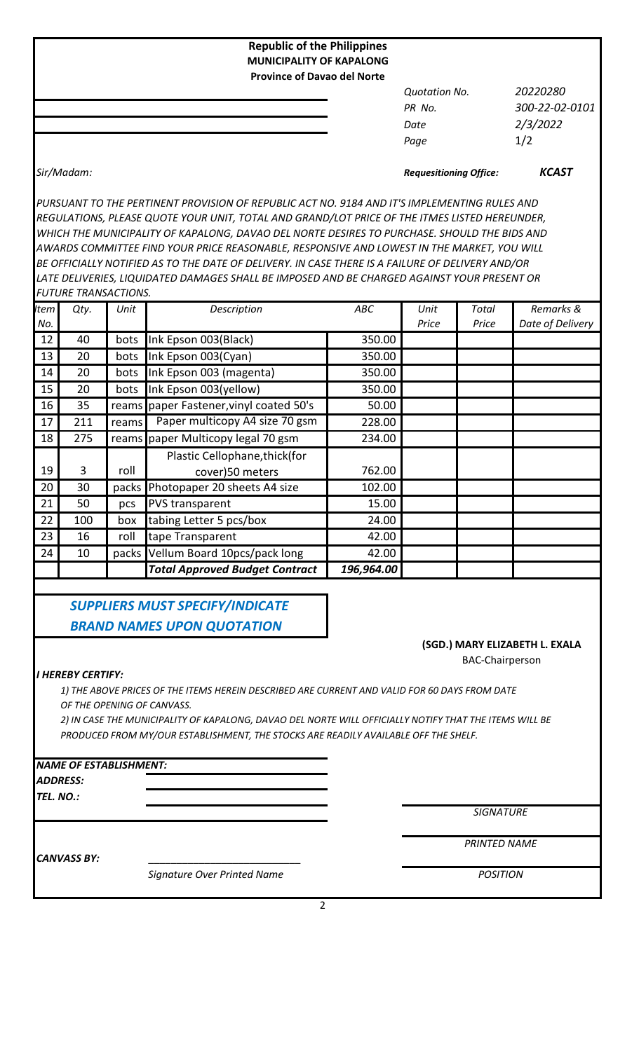| <b>Republic of the Philippines</b><br><b>MUNICIPALITY OF KAPALONG</b> |                      |                |
|-----------------------------------------------------------------------|----------------------|----------------|
| <b>Province of Davao del Norte</b>                                    |                      |                |
|                                                                       | <b>Quotation No.</b> | 20220280       |
|                                                                       | PR No.               | 300-22-02-0101 |
|                                                                       | Date                 | 2/3/2022       |
|                                                                       | Page                 | 1/2            |
|                                                                       |                      |                |

## *Sir/Madam: Requesitioning Office: KCAST*

*PURSUANT TO THE PERTINENT PROVISION OF REPUBLIC ACT NO. 9184 AND IT'S IMPLEMENTING RULES AND REGULATIONS, PLEASE QUOTE YOUR UNIT, TOTAL AND GRAND/LOT PRICE OF THE ITMES LISTED HEREUNDER, WHICH THE MUNICIPALITY OF KAPALONG, DAVAO DEL NORTE DESIRES TO PURCHASE. SHOULD THE BIDS AND AWARDS COMMITTEE FIND YOUR PRICE REASONABLE, RESPONSIVE AND LOWEST IN THE MARKET, YOU WILL BE OFFICIALLY NOTIFIED AS TO THE DATE OF DELIVERY. IN CASE THERE IS A FAILURE OF DELIVERY AND/OR LATE DELIVERIES, LIQUIDATED DAMAGES SHALL BE IMPOSED AND BE CHARGED AGAINST YOUR PRESENT OR FUTURE TRANSACTIONS.*

| <b>tem</b> | Qty. | Unit  | Description                             | ABC        | Unit  | Total | Remarks &        |
|------------|------|-------|-----------------------------------------|------------|-------|-------|------------------|
| No.        |      |       |                                         |            | Price | Price | Date of Delivery |
| 12         | 40   | bots  | Ink Epson 003(Black)                    | 350.00     |       |       |                  |
| 13         | 20   | bots  | Ink Epson 003(Cyan)                     | 350.00     |       |       |                  |
| 14         | 20   | bots  | Ink Epson 003 (magenta)                 | 350.00     |       |       |                  |
| 15         | 20   | bots  | Ink Epson 003(yellow)                   | 350.00     |       |       |                  |
| 16         | 35   |       | reams paper Fastener, vinyl coated 50's | 50.00      |       |       |                  |
| 17         | 211  | reams | Paper multicopy A4 size 70 gsm          | 228.00     |       |       |                  |
| 18         | 275  |       | reams paper Multicopy legal 70 gsm      | 234.00     |       |       |                  |
|            |      |       | Plastic Cellophane, thick (for          |            |       |       |                  |
| 19         | 3    | roll  | cover)50 meters                         | 762.00     |       |       |                  |
| 20         | 30   | packs | Photopaper 20 sheets A4 size            | 102.00     |       |       |                  |
| 21         | 50   | pcs   | PVS transparent                         | 15.00      |       |       |                  |
| 22         | 100  | box   | tabing Letter 5 pcs/box                 | 24.00      |       |       |                  |
| 23         | 16   | roll  | tape Transparent                        | 42.00      |       |       |                  |
| 24         | 10   | packs | Vellum Board 10pcs/pack long            | 42.00      |       |       |                  |
|            |      |       | <b>Total Approved Budget Contract</b>   | 196,964.00 |       |       |                  |

 *SUPPLIERS MUST SPECIFY/INDICATE BRAND NAMES UPON QUOTATION*

## BAC-Chairperson **(SGD.) MARY ELIZABETH L. EXALA**

## *I HEREBY CERTIFY:*

*1) THE ABOVE PRICES OF THE ITEMS HEREIN DESCRIBED ARE CURRENT AND VALID FOR 60 DAYS FROM DATE OF THE OPENING OF CANVASS.*

*2) IN CASE THE MUNICIPALITY OF KAPALONG, DAVAO DEL NORTE WILL OFFICIALLY NOTIFY THAT THE ITEMS WILL BE PRODUCED FROM MY/OUR ESTABLISHMENT, THE STOCKS ARE READILY AVAILABLE OFF THE SHELF.*

## *NAME OF ESTABLISHMENT:*

*ADDRESS:*

*TEL. NO.:*

*SIGNATURE*

*PRINTED NAME*

CANVASS BY:

*Signature Over Printed Name*

*POSITION*